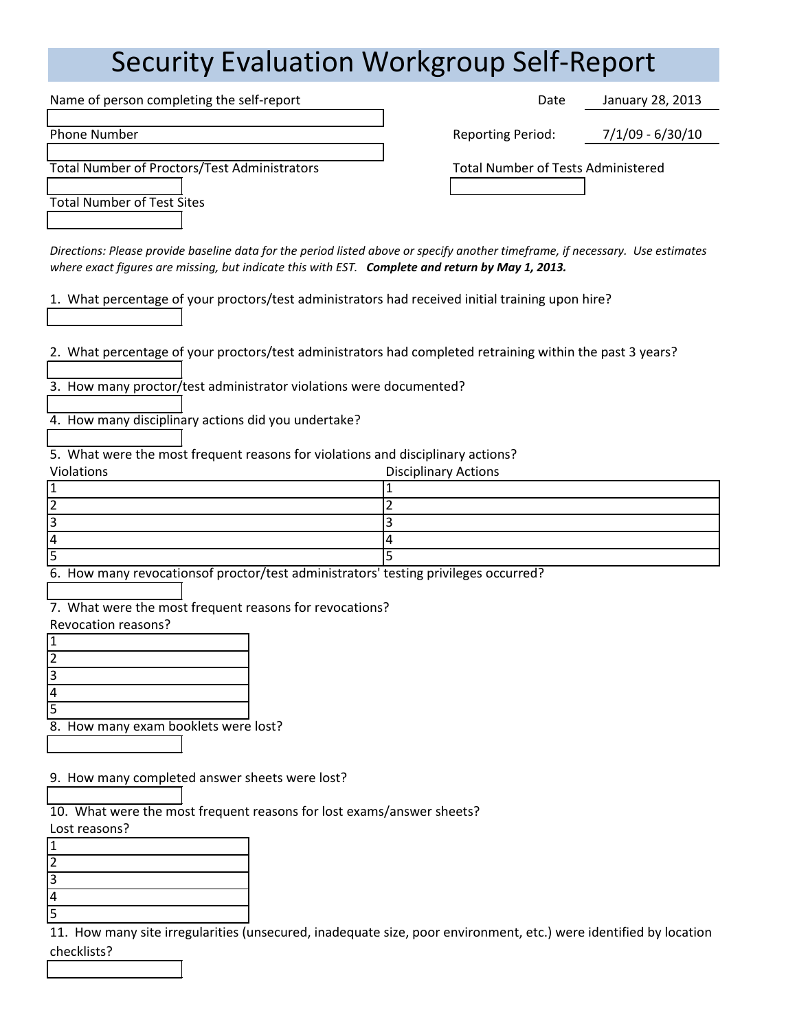## Security Evaluation Workgroup Self-Report

Name of person completing the self-report **Date** Date Date Phone Number Reporting Period: The Period: The Period: The Period: Reporting Period: Rep Total Number of Proctors/Test Administrators Total Number of Tests Administered Total Number of Test Sites

| orting Period: | $7/1/09 - 6/30/10$ |
|----------------|--------------------|
|                |                    |

January 28, 2013

*Directions: Please provide baseline data for the period listed above or specify another timeframe, if necessary. Use estimates where exact figures are missing, but indicate this with EST. Complete and return by May 1, 2013.*

1. What percentage of your proctors/test administrators had received initial training upon hire?

2. What percentage of your proctors/test administrators had completed retraining within the past 3 years?

3. How many proctor/test administrator violations were documented?

4. How many disciplinary actions did you undertake?

5. What were the most frequent reasons for violations and disciplinary actions?

Violations **Disciplinary Actions**  $1 \hspace{1.5cm} |1$ 2 2  $3 \qquad \qquad$  3 4 4  $5$  5

6. How many revocationsof proctor/test administrators' testing privileges occurred?

7. What were the most frequent reasons for revocations?

Revocation reasons?

| 3 |                             |
|---|-----------------------------|
|   |                             |
| 5 |                             |
| я | How many exam hooklets were |

exam booklets were lost?

9. How many completed answer sheets were lost?

10. What were the most frequent reasons for lost exams/answer sheets? Lost reasons?

| $-00011$ $-0000110$ |
|---------------------|
|                     |
|                     |
|                     |
| 4                   |
| с                   |

11. How many site irregularities (unsecured, inadequate size, poor environment, etc.) were identified by location checklists?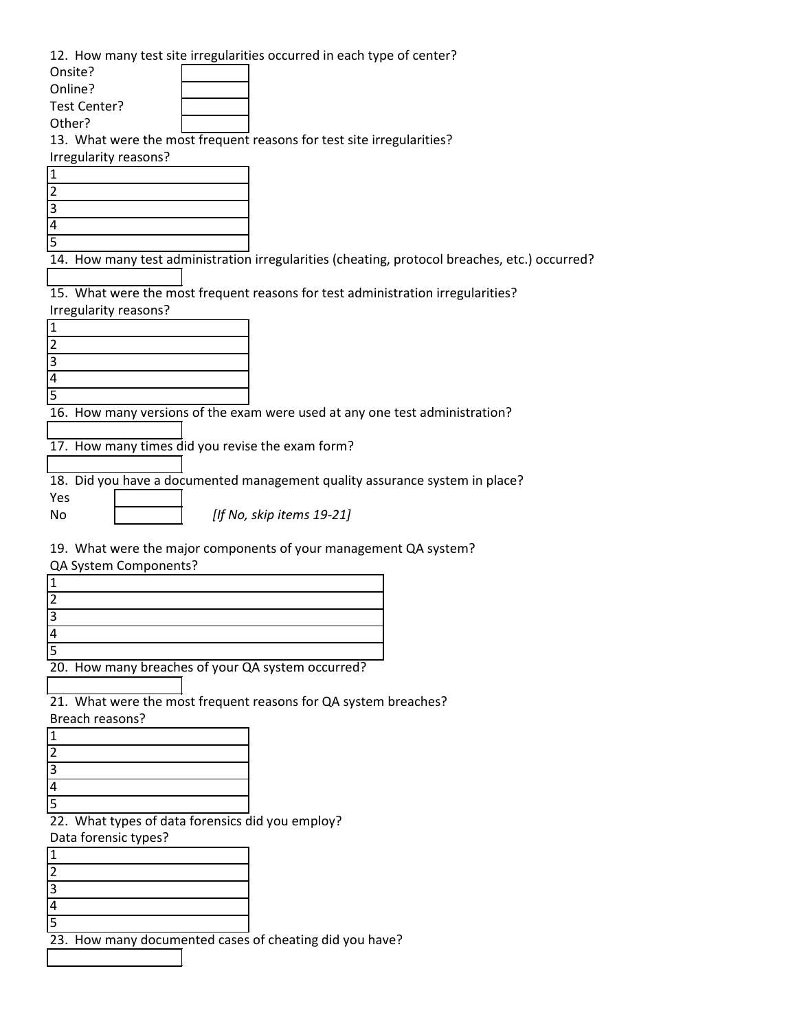12. How many test site irregularities occurred in each type of center?

| Onsite?               |                                                                       |
|-----------------------|-----------------------------------------------------------------------|
| Online?               |                                                                       |
| Test Center?          |                                                                       |
| Other?                |                                                                       |
|                       | 13. What were the most frequent reasons for test site irregularities? |
| Irregularity reasons? |                                                                       |
|                       |                                                                       |



14. How many test administration irregularities (cheating, protocol breaches, etc.) occurred?

15. What were the most frequent reasons for test administration irregularities? Irregularity reasons?



16. How many versions of the exam were used at any one test administration?

17. How many times did you revise the exam form?

18. Did you have a documented management quality assurance system in place?

*[If No, skip items 19-21]*

19. What were the major components of your management QA system?

QA System Components?

Yes No

| 20 How many breaches of your OA system occurred? |
|--------------------------------------------------|

breaches of your QA system occurred?

21. What were the most frequent reasons for QA system breaches? Breach reasons?



22. What types of data forensics did you employ?

Data forensic types?

23. How many documented cases of cheating did you have?